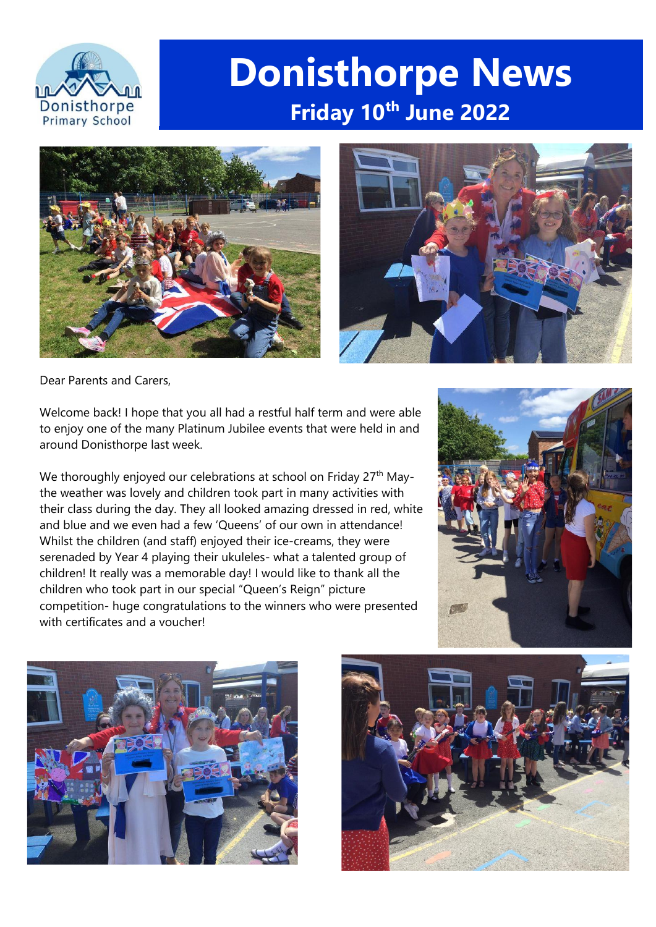

# **Donisthorpe News Friday 10th June 2022**





Dear Parents and Carers,

Welcome back! I hope that you all had a restful half term and were able to enjoy one of the many Platinum Jubilee events that were held in and around Donisthorpe last week.

We thoroughly enjoyed our celebrations at school on Friday 27<sup>th</sup> Maythe weather was lovely and children took part in many activities with their class during the day. They all looked amazing dressed in red, white and blue and we even had a few 'Queens' of our own in attendance! Whilst the children (and staff) enjoyed their ice-creams, they were serenaded by Year 4 playing their ukuleles- what a talented group of children! It really was a memorable day! I would like to thank all the children who took part in our special "Queen's Reign" picture competition- huge congratulations to the winners who were presented with certificates and a voucher!





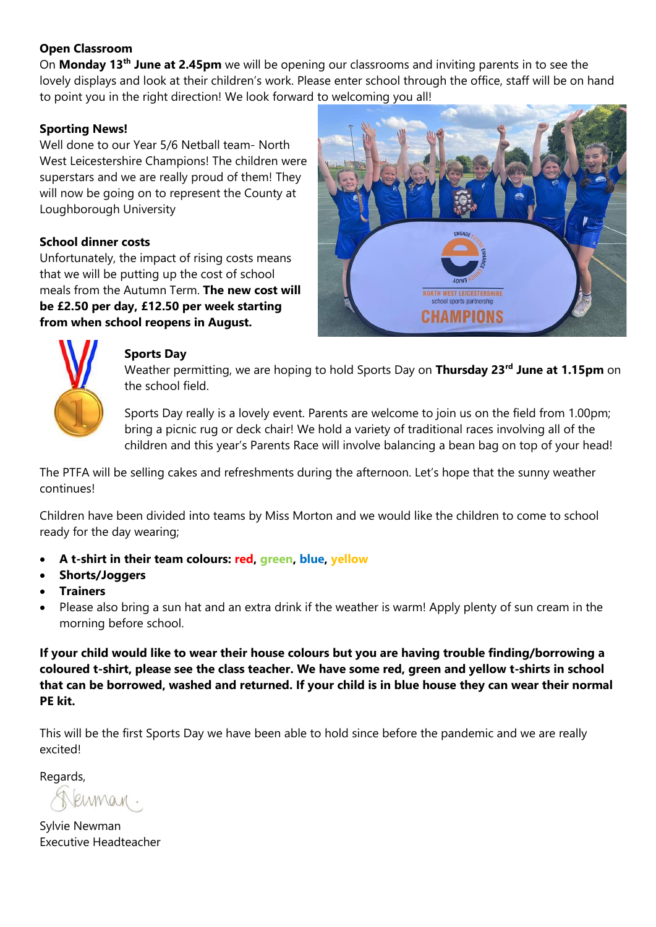## **Open Classroom**

On **Monday 13th June at 2.45pm** we will be opening our classrooms and inviting parents in to see the lovely displays and look at their children's work. Please enter school through the office, staff will be on hand to point you in the right direction! We look forward to welcoming you all!

#### **Sporting News!**

Well done to our Year 5/6 Netball team- North West Leicestershire Champions! The children were superstars and we are really proud of them! They will now be going on to represent the County at Loughborough University

## **School dinner costs**

Unfortunately, the impact of rising costs means that we will be putting up the cost of school meals from the Autumn Term. **The new cost will be £2.50 per day, £12.50 per week starting from when school reopens in August.** 





## **Sports Day**

Weather permitting, we are hoping to hold Sports Day on **Thursday 23rd June at 1.15pm** on the school field.

Sports Day really is a lovely event. Parents are welcome to join us on the field from 1.00pm; bring a picnic rug or deck chair! We hold a variety of traditional races involving all of the children and this year's Parents Race will involve balancing a bean bag on top of your head!

The PTFA will be selling cakes and refreshments during the afternoon. Let's hope that the sunny weather continues!

Children have been divided into teams by Miss Morton and we would like the children to come to school ready for the day wearing;

- **A t-shirt in their team colours: red, green, blue, yellow**
- **Shorts/Joggers**
- **Trainers**
- Please also bring a sun hat and an extra drink if the weather is warm! Apply plenty of sun cream in the morning before school.

**If your child would like to wear their house colours but you are having trouble finding/borrowing a coloured t-shirt, please see the class teacher. We have some red, green and yellow t-shirts in school that can be borrowed, washed and returned. If your child is in blue house they can wear their normal PE kit.**

This will be the first Sports Day we have been able to hold since before the pandemic and we are really excited!

Regards,

enman.

Sylvie Newman Executive Headteacher